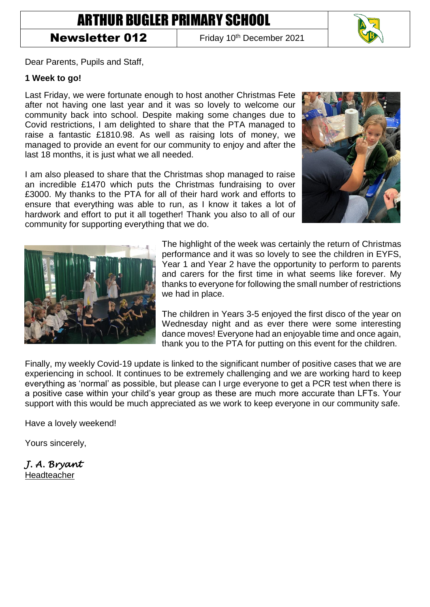# ARTHUR BUGLER PRIMARY SCHOOL

## **Newsletter 012** Friday 10<sup>th</sup> December 2021



Dear Parents, Pupils and Staff,

#### **1 Week to go!**

Last Friday, we were fortunate enough to host another Christmas Fete after not having one last year and it was so lovely to welcome our community back into school. Despite making some changes due to Covid restrictions, I am delighted to share that the PTA managed to raise a fantastic £1810.98. As well as raising lots of money, we managed to provide an event for our community to enjoy and after the last 18 months, it is just what we all needed.

I am also pleased to share that the Christmas shop managed to raise an incredible £1470 which puts the Christmas fundraising to over £3000. My thanks to the PTA for all of their hard work and efforts to ensure that everything was able to run, as I know it takes a lot of hardwork and effort to put it all together! Thank you also to all of our community for supporting everything that we do.





The highlight of the week was certainly the return of Christmas performance and it was so lovely to see the children in EYFS, Year 1 and Year 2 have the opportunity to perform to parents and carers for the first time in what seems like forever. My thanks to everyone for following the small number of restrictions we had in place.

The children in Years 3-5 enjoyed the first disco of the year on Wednesday night and as ever there were some interesting dance moves! Everyone had an enjoyable time and once again, thank you to the PTA for putting on this event for the children.

Finally, my weekly Covid-19 update is linked to the significant number of positive cases that we are experiencing in school. It continues to be extremely challenging and we are working hard to keep everything as 'normal' as possible, but please can I urge everyone to get a PCR test when there is a positive case within your child's year group as these are much more accurate than LFTs. Your support with this would be much appreciated as we work to keep everyone in our community safe.

Have a lovely weekend!

Yours sincerely,

*J. A. Bryant*  Headteacher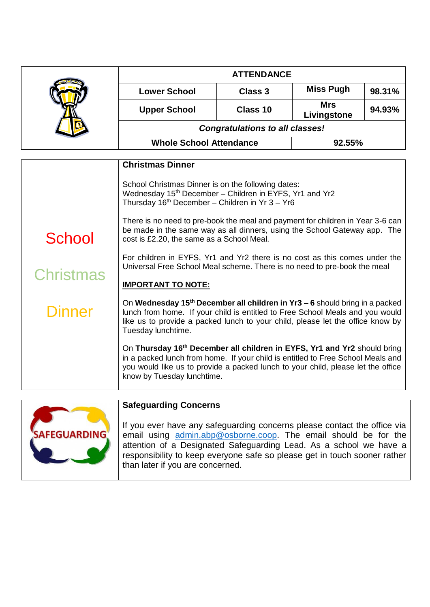|                            | <b>ATTENDANCE</b>                                                                                                                                                                                                                                                                                                                                                                                                                                                                                                                                                                 |          |                           |        |  |
|----------------------------|-----------------------------------------------------------------------------------------------------------------------------------------------------------------------------------------------------------------------------------------------------------------------------------------------------------------------------------------------------------------------------------------------------------------------------------------------------------------------------------------------------------------------------------------------------------------------------------|----------|---------------------------|--------|--|
|                            | <b>Lower School</b>                                                                                                                                                                                                                                                                                                                                                                                                                                                                                                                                                               | Class 3  | <b>Miss Pugh</b>          | 98.31% |  |
|                            | <b>Upper School</b>                                                                                                                                                                                                                                                                                                                                                                                                                                                                                                                                                               | Class 10 | <b>Mrs</b><br>Livingstone | 94.93% |  |
|                            | <b>Congratulations to all classes!</b>                                                                                                                                                                                                                                                                                                                                                                                                                                                                                                                                            |          |                           |        |  |
|                            | <b>Whole School Attendance</b>                                                                                                                                                                                                                                                                                                                                                                                                                                                                                                                                                    |          | 92.55%                    |        |  |
|                            | <b>Christmas Dinner</b>                                                                                                                                                                                                                                                                                                                                                                                                                                                                                                                                                           |          |                           |        |  |
| School<br><b>Christmas</b> | School Christmas Dinner is on the following dates:<br>Wednesday 15 <sup>th</sup> December - Children in EYFS, Yr1 and Yr2<br>Thursday $16th$ December – Children in Yr 3 – Yr6<br>There is no need to pre-book the meal and payment for children in Year 3-6 can<br>be made in the same way as all dinners, using the School Gateway app. The<br>cost is £2.20, the same as a School Meal.<br>For children in EYFS, Yr1 and Yr2 there is no cost as this comes under the<br>Universal Free School Meal scheme. There is no need to pre-book the meal<br><b>IMPORTANT TO NOTE:</b> |          |                           |        |  |
| Dinner                     | On Wednesday 15 <sup>th</sup> December all children in Yr3 – 6 should bring in a packed<br>lunch from home. If your child is entitled to Free School Meals and you would<br>like us to provide a packed lunch to your child, please let the office know by<br>Tuesday lunchtime.                                                                                                                                                                                                                                                                                                  |          |                           |        |  |
|                            | On Thursday 16th December all children in EYFS, Yr1 and Yr2 should bring<br>in a packed lunch from home. If your child is entitled to Free School Meals and<br>you would like us to provide a packed lunch to your child, please let the office<br>know by Tuesday lunchtime.                                                                                                                                                                                                                                                                                                     |          |                           |        |  |



### **Safeguarding Concerns**

If you ever have any safeguarding concerns please contact the office via email using [admin.abp@osborne.coop.](mailto:admin.abp@osborne.coop) The email should be for the attention of a Designated Safeguarding Lead. As a school we have a responsibility to keep everyone safe so please get in touch sooner rather than later if you are concerned.